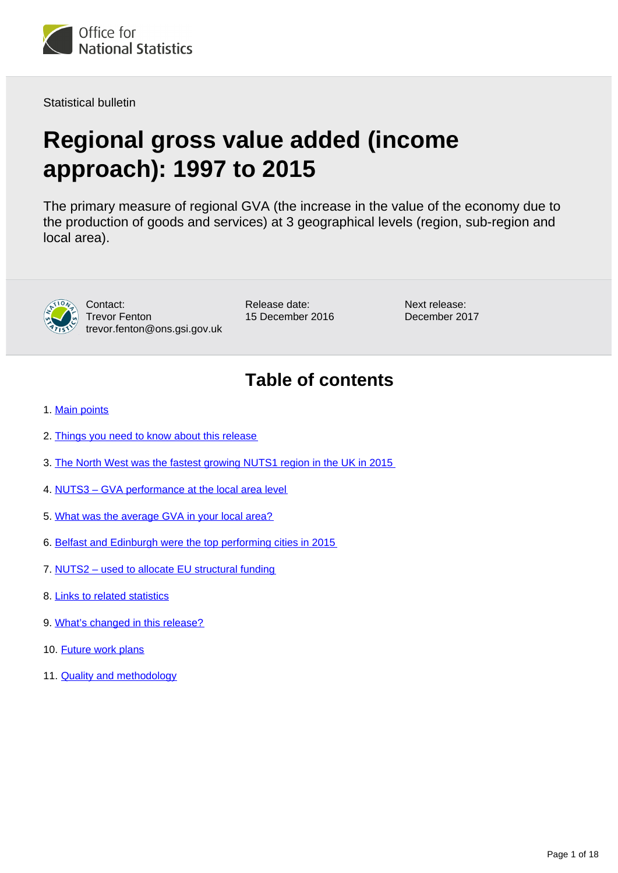

Statistical bulletin

# **Regional gross value added (income approach): 1997 to 2015**

The primary measure of regional GVA (the increase in the value of the economy due to the production of goods and services) at 3 geographical levels (region, sub-region and local area).



Contact: Trevor Fenton trevor.fenton@ons.gsi.gov.uk Release date: 15 December 2016 Next release: December 2017

## **Table of contents**

- 1. [Main points](#page-1-0)
- 2. [Things you need to know about this release](#page-1-1)
- 3. [The North West was the fastest growing NUTS1 region in the UK in 2015](#page-2-0)
- 4. [NUTS3 GVA performance at the local area level](#page-6-0)
- 5. [What was the average GVA in your local area?](#page-9-0)
- 6. [Belfast and Edinburgh were the top performing cities in 2015](#page-10-0)
- 7. [NUTS2 used to allocate EU structural funding](#page-11-0)
- 8. [Links to related statistics](#page-13-0)
- 9. [What's changed in this release?](#page-14-0)
- 10. [Future work plans](#page-15-0)
- 11. [Quality and methodology](#page-15-1)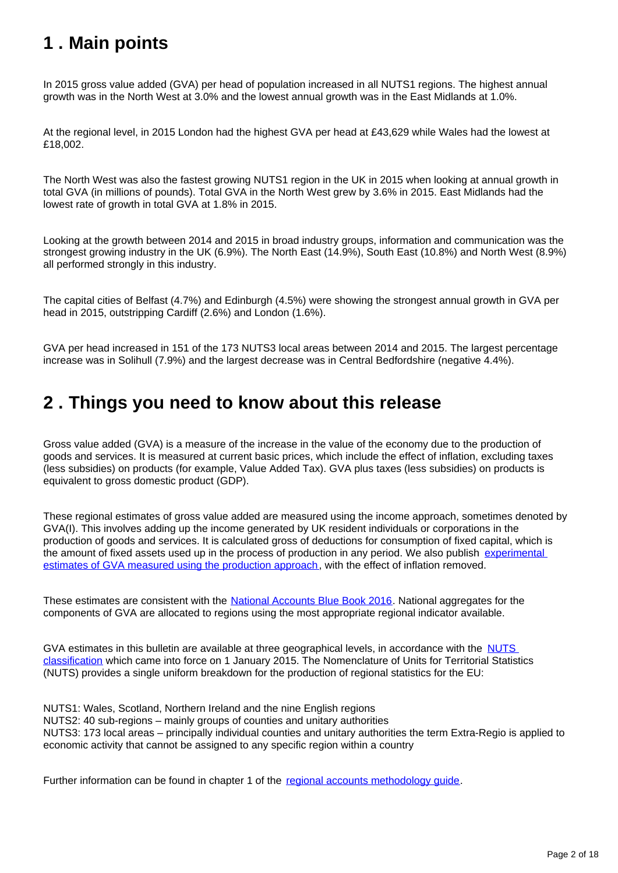## <span id="page-1-0"></span>**1 . Main points**

In 2015 gross value added (GVA) per head of population increased in all NUTS1 regions. The highest annual growth was in the North West at 3.0% and the lowest annual growth was in the East Midlands at 1.0%.

At the regional level, in 2015 London had the highest GVA per head at £43,629 while Wales had the lowest at £18,002.

The North West was also the fastest growing NUTS1 region in the UK in 2015 when looking at annual growth in total GVA (in millions of pounds). Total GVA in the North West grew by 3.6% in 2015. East Midlands had the lowest rate of growth in total GVA at 1.8% in 2015.

Looking at the growth between 2014 and 2015 in broad industry groups, information and communication was the strongest growing industry in the UK (6.9%). The North East (14.9%), South East (10.8%) and North West (8.9%) all performed strongly in this industry.

The capital cities of Belfast (4.7%) and Edinburgh (4.5%) were showing the strongest annual growth in GVA per head in 2015, outstripping Cardiff (2.6%) and London (1.6%).

GVA per head increased in 151 of the 173 NUTS3 local areas between 2014 and 2015. The largest percentage increase was in Solihull (7.9%) and the largest decrease was in Central Bedfordshire (negative 4.4%).

### <span id="page-1-1"></span>**2 . Things you need to know about this release**

Gross value added (GVA) is a measure of the increase in the value of the economy due to the production of goods and services. It is measured at current basic prices, which include the effect of inflation, excluding taxes (less subsidies) on products (for example, Value Added Tax). GVA plus taxes (less subsidies) on products is equivalent to gross domestic product (GDP).

These regional estimates of gross value added are measured using the income approach, sometimes denoted by GVA(I). This involves adding up the income generated by UK resident individuals or corporations in the production of goods and services. It is calculated gross of deductions for consumption of fixed capital, which is the amount of fixed assets used up in the process of production in any period. We also publish [experimental](https://www.ons.gov.uk/economy/grossvalueaddedgva/bulletins/regionalgrossvalueaddedproductionapproach/1998to2013)  [estimates of GVA measured using the production approach](https://www.ons.gov.uk/economy/grossvalueaddedgva/bulletins/regionalgrossvalueaddedproductionapproach/1998to2013), with the effect of inflation removed.

These estimates are consistent with the [National Accounts Blue Book 2016](https://www.ons.gov.uk/economy/grossdomesticproductgdp/compendium/unitedkingdomnationalaccountsthebluebook/2016edition). National aggregates for the components of GVA are allocated to regions using the most appropriate regional indicator available.

GVA estimates in this bulletin are available at three geographical levels, in accordance with the NUTS [classification](https://www.ons.gov.uk/methodology/geography/geographicalproducts/namescodesandlookups/namesandcodeslistings/namesandcodesforeurostatgeography) which came into force on 1 January 2015. The Nomenclature of Units for Territorial Statistics (NUTS) provides a single uniform breakdown for the production of regional statistics for the EU:

NUTS1: Wales, Scotland, Northern Ireland and the nine English regions NUTS2: 40 sub-regions – mainly groups of counties and unitary authorities NUTS3: 173 local areas – principally individual counties and unitary authorities the term Extra-Regio is applied to economic activity that cannot be assigned to any specific region within a country

Further information can be found in chapter 1 of the [regional accounts methodology guide](https://www.ons.gov.uk/file?uri=/economy/regionalaccounts/grossdisposablehouseholdincome/methodologies/regionalaccounts/regionalaccountsmethodologyguideaugust2016.pdf).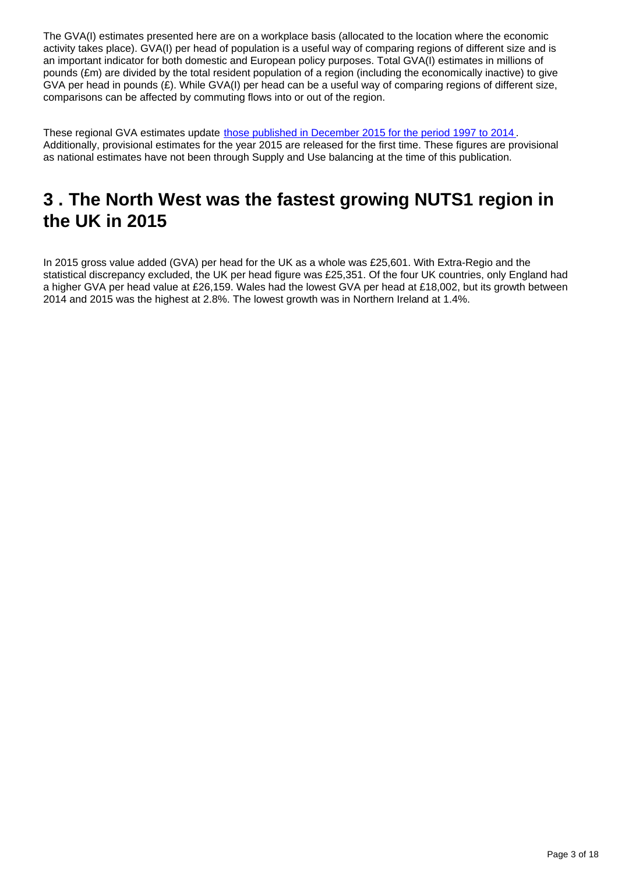The GVA(I) estimates presented here are on a workplace basis (allocated to the location where the economic activity takes place). GVA(I) per head of population is a useful way of comparing regions of different size and is an important indicator for both domestic and European policy purposes. Total GVA(I) estimates in millions of pounds (£m) are divided by the total resident population of a region (including the economically inactive) to give GVA per head in pounds (£). While GVA(I) per head can be a useful way of comparing regions of different size, comparisons can be affected by commuting flows into or out of the region.

These regional GVA estimates update [those published in December 2015 for the period 1997 to 2014](https://www.ons.gov.uk/economy/grossvalueaddedgva/bulletins/regionalgrossvalueaddedincomeapproach/december2015) . Additionally, provisional estimates for the year 2015 are released for the first time. These figures are provisional as national estimates have not been through Supply and Use balancing at the time of this publication.

## <span id="page-2-0"></span>**3 . The North West was the fastest growing NUTS1 region in the UK in 2015**

In 2015 gross value added (GVA) per head for the UK as a whole was £25,601. With Extra-Regio and the statistical discrepancy excluded, the UK per head figure was £25,351. Of the four UK countries, only England had a higher GVA per head value at £26,159. Wales had the lowest GVA per head at £18,002, but its growth between 2014 and 2015 was the highest at 2.8%. The lowest growth was in Northern Ireland at 1.4%.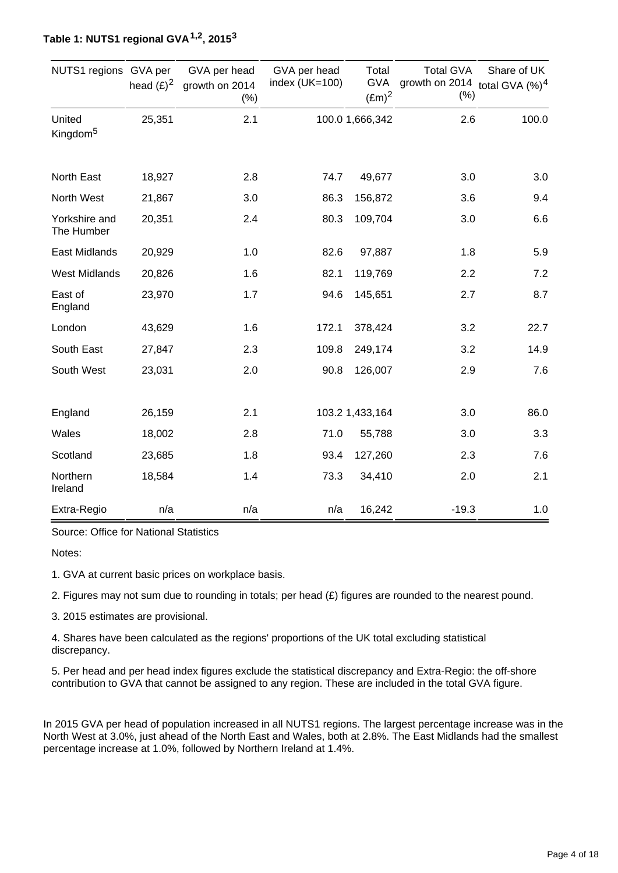| NUTS1 regions GVA per          |        | GVA per head<br>head $(E)^2$ growth on 2014<br>$(\%)$ | GVA per head<br>index (UK=100) | Total<br><b>GVA</b><br>$(\text{Em})^2$ | <b>Total GVA</b><br>growth on 2014 total GVA $(\%)^4$<br>$(\% )$ | Share of UK |
|--------------------------------|--------|-------------------------------------------------------|--------------------------------|----------------------------------------|------------------------------------------------------------------|-------------|
| United<br>Kingdom <sup>5</sup> | 25,351 | 2.1                                                   |                                | 100.0 1,666,342                        | 2.6                                                              | 100.0       |
| North East                     | 18,927 | 2.8                                                   | 74.7                           | 49,677                                 | 3.0                                                              | 3.0         |
| North West                     | 21,867 | 3.0                                                   | 86.3                           | 156,872                                | 3.6                                                              | 9.4         |
| Yorkshire and<br>The Humber    | 20,351 | 2.4                                                   | 80.3                           | 109,704                                | 3.0                                                              | 6.6         |
| East Midlands                  | 20,929 | 1.0                                                   | 82.6                           | 97,887                                 | 1.8                                                              | 5.9         |
| <b>West Midlands</b>           | 20,826 | 1.6                                                   | 82.1                           | 119,769                                | 2.2                                                              | 7.2         |
| East of<br>England             | 23,970 | 1.7                                                   | 94.6                           | 145,651                                | 2.7                                                              | 8.7         |
| London                         | 43,629 | 1.6                                                   | 172.1                          | 378,424                                | 3.2                                                              | 22.7        |
| South East                     | 27,847 | 2.3                                                   | 109.8                          | 249,174                                | 3.2                                                              | 14.9        |
| South West                     | 23,031 | 2.0                                                   | 90.8                           | 126,007                                | 2.9                                                              | 7.6         |
| England                        | 26,159 | 2.1                                                   |                                | 103.2 1,433,164                        | 3.0                                                              | 86.0        |
| Wales                          | 18,002 | 2.8                                                   | 71.0                           | 55,788                                 | 3.0                                                              | 3.3         |
| Scotland                       | 23,685 | 1.8                                                   | 93.4                           | 127,260                                | 2.3                                                              | 7.6         |
| Northern<br>Ireland            | 18,584 | 1.4                                                   | 73.3                           | 34,410                                 | 2.0                                                              | 2.1         |
| Extra-Regio                    | n/a    | n/a                                                   | n/a                            | 16,242                                 | $-19.3$                                                          | 1.0         |

#### **Table 1: NUTS1 regional GVA , 2015 1,2 <sup>3</sup>**

Source: Office for National Statistics

Notes:

1. GVA at current basic prices on workplace basis.

2. Figures may not sum due to rounding in totals; per head (£) figures are rounded to the nearest pound.

3. 2015 estimates are provisional.

4. Shares have been calculated as the regions' proportions of the UK total excluding statistical discrepancy.

5. Per head and per head index figures exclude the statistical discrepancy and Extra-Regio: the off-shore contribution to GVA that cannot be assigned to any region. These are included in the total GVA figure.

In 2015 GVA per head of population increased in all NUTS1 regions. The largest percentage increase was in the North West at 3.0%, just ahead of the North East and Wales, both at 2.8%. The East Midlands had the smallest percentage increase at 1.0%, followed by Northern Ireland at 1.4%.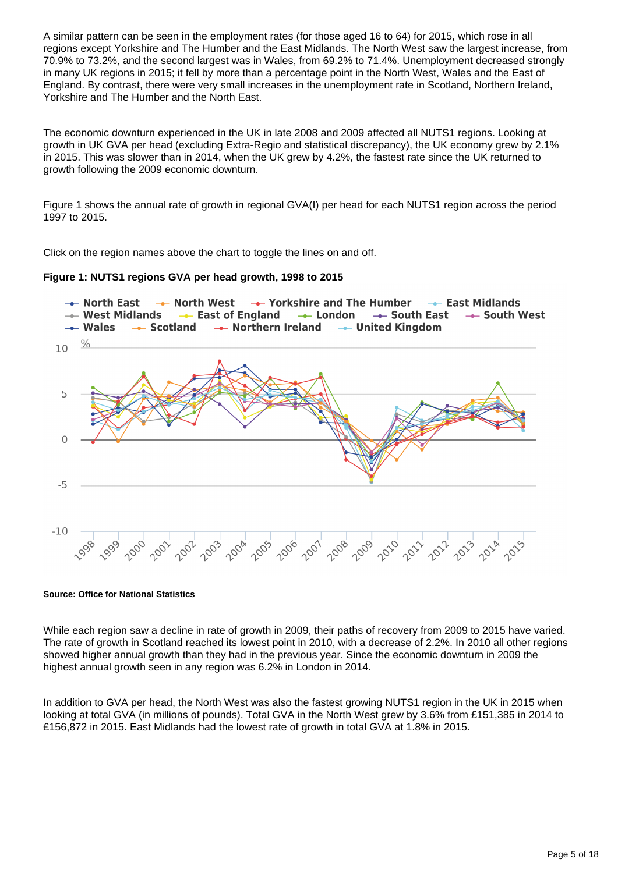A similar pattern can be seen in the employment rates (for those aged 16 to 64) for 2015, which rose in all regions except Yorkshire and The Humber and the East Midlands. The North West saw the largest increase, from 70.9% to 73.2%, and the second largest was in Wales, from 69.2% to 71.4%. Unemployment decreased strongly in many UK regions in 2015; it fell by more than a percentage point in the North West, Wales and the East of England. By contrast, there were very small increases in the unemployment rate in Scotland, Northern Ireland, Yorkshire and The Humber and the North East.

The economic downturn experienced in the UK in late 2008 and 2009 affected all NUTS1 regions. Looking at growth in UK GVA per head (excluding Extra-Regio and statistical discrepancy), the UK economy grew by 2.1% in 2015. This was slower than in 2014, when the UK grew by 4.2%, the fastest rate since the UK returned to growth following the 2009 economic downturn.

Figure 1 shows the annual rate of growth in regional GVA(I) per head for each NUTS1 region across the period 1997 to 2015.

Click on the region names above the chart to toggle the lines on and off.





**Source: Office for National Statistics**

While each region saw a decline in rate of growth in 2009, their paths of recovery from 2009 to 2015 have varied. The rate of growth in Scotland reached its lowest point in 2010, with a decrease of 2.2%. In 2010 all other regions showed higher annual growth than they had in the previous year. Since the economic downturn in 2009 the highest annual growth seen in any region was 6.2% in London in 2014.

In addition to GVA per head, the North West was also the fastest growing NUTS1 region in the UK in 2015 when looking at total GVA (in millions of pounds). Total GVA in the North West grew by 3.6% from £151,385 in 2014 to £156,872 in 2015. East Midlands had the lowest rate of growth in total GVA at 1.8% in 2015.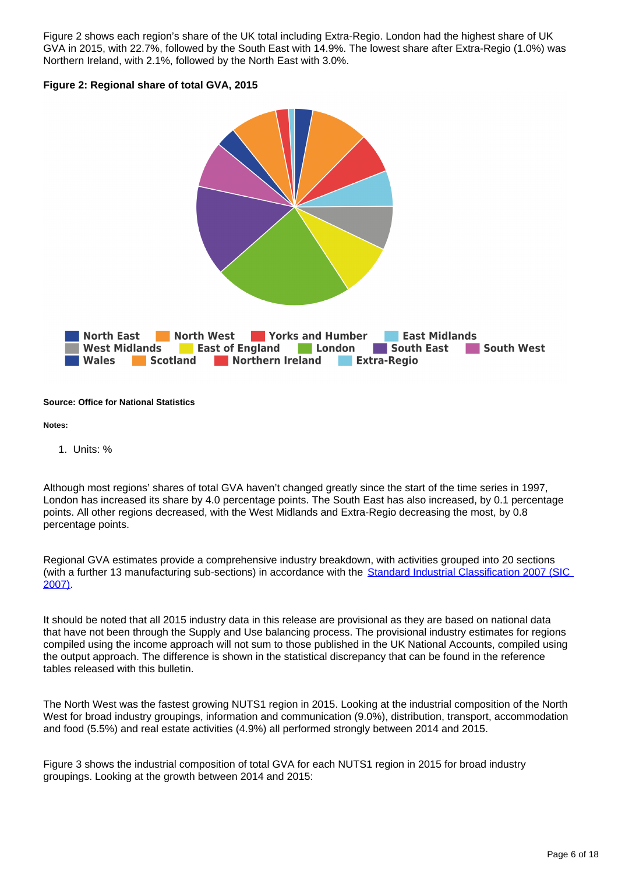Figure 2 shows each region's share of the UK total including Extra-Regio. London had the highest share of UK GVA in 2015, with 22.7%, followed by the South East with 14.9%. The lowest share after Extra-Regio (1.0%) was Northern Ireland, with 2.1%, followed by the North East with 3.0%.

#### **Figure 2: Regional share of total GVA, 2015**



#### **Source: Office for National Statistics**

**Notes:**

1. Units: %

Although most regions' shares of total GVA haven't changed greatly since the start of the time series in 1997, London has increased its share by 4.0 percentage points. The South East has also increased, by 0.1 percentage points. All other regions decreased, with the West Midlands and Extra-Regio decreasing the most, by 0.8 percentage points.

Regional GVA estimates provide a comprehensive industry breakdown, with activities grouped into 20 sections (with a further 13 manufacturing sub-sections) in accordance with the Standard Industrial Classification 2007 (SIC [2007\).](https://www.ons.gov.uk/methodology/classificationsandstandards/ukstandardindustrialclassificationofeconomicactivities/uksic2007)

It should be noted that all 2015 industry data in this release are provisional as they are based on national data that have not been through the Supply and Use balancing process. The provisional industry estimates for regions compiled using the income approach will not sum to those published in the UK National Accounts, compiled using the output approach. The difference is shown in the statistical discrepancy that can be found in the reference tables released with this bulletin.

The North West was the fastest growing NUTS1 region in 2015. Looking at the industrial composition of the North West for broad industry groupings, information and communication (9.0%), distribution, transport, accommodation and food (5.5%) and real estate activities (4.9%) all performed strongly between 2014 and 2015.

Figure 3 shows the industrial composition of total GVA for each NUTS1 region in 2015 for broad industry groupings. Looking at the growth between 2014 and 2015: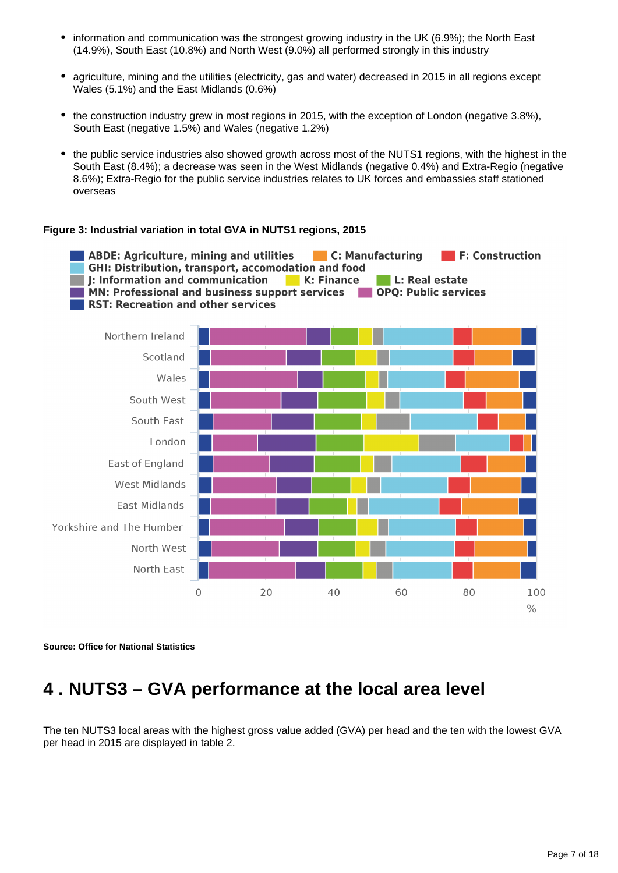- information and communication was the strongest growing industry in the UK (6.9%); the North East (14.9%), South East (10.8%) and North West (9.0%) all performed strongly in this industry
- agriculture, mining and the utilities (electricity, gas and water) decreased in 2015 in all regions except Wales (5.1%) and the East Midlands (0.6%)
- the construction industry grew in most regions in 2015, with the exception of London (negative 3.8%), South East (negative 1.5%) and Wales (negative 1.2%)
- the public service industries also showed growth across most of the NUTS1 regions, with the highest in the South East (8.4%); a decrease was seen in the West Midlands (negative 0.4%) and Extra-Regio (negative 8.6%); Extra-Regio for the public service industries relates to UK forces and embassies staff stationed overseas

#### **Figure 3: Industrial variation in total GVA in NUTS1 regions, 2015**



**Source: Office for National Statistics**

## <span id="page-6-0"></span>**4 . NUTS3 – GVA performance at the local area level**

The ten NUTS3 local areas with the highest gross value added (GVA) per head and the ten with the lowest GVA per head in 2015 are displayed in table 2.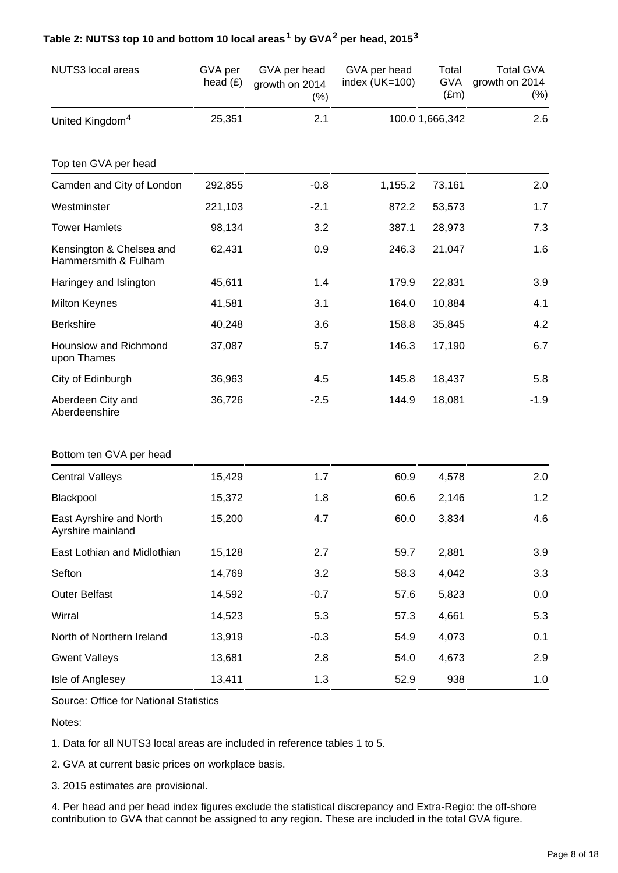| NUTS3 local areas                                | GVA per<br>head $(E)$ | GVA per head<br>growth on 2014<br>$(\%)$ | GVA per head<br>index (UK=100) | Total<br><b>GVA</b><br>$(\text{Em})$ | <b>Total GVA</b><br>growth on 2014<br>$(\%)$ |
|--------------------------------------------------|-----------------------|------------------------------------------|--------------------------------|--------------------------------------|----------------------------------------------|
| United Kingdom <sup>4</sup>                      | 25,351                | 2.1                                      |                                | 100.0 1,666,342                      | 2.6                                          |
| Top ten GVA per head                             |                       |                                          |                                |                                      |                                              |
| Camden and City of London                        | 292,855               | $-0.8$                                   | 1,155.2                        | 73,161                               | 2.0                                          |
| Westminster                                      | 221,103               | $-2.1$                                   | 872.2                          | 53,573                               | 1.7                                          |
| <b>Tower Hamlets</b>                             | 98,134                | 3.2                                      | 387.1                          | 28,973                               | 7.3                                          |
| Kensington & Chelsea and<br>Hammersmith & Fulham | 62,431                | 0.9                                      | 246.3                          | 21,047                               | 1.6                                          |
| Haringey and Islington                           | 45,611                | 1.4                                      | 179.9                          | 22,831                               | 3.9                                          |
| <b>Milton Keynes</b>                             | 41,581                | 3.1                                      | 164.0                          | 10,884                               | 4.1                                          |
| <b>Berkshire</b>                                 | 40,248                | 3.6                                      | 158.8                          | 35,845                               | 4.2                                          |
| Hounslow and Richmond<br>upon Thames             | 37,087                | 5.7                                      | 146.3                          | 17,190                               | 6.7                                          |
| City of Edinburgh                                | 36,963                | 4.5                                      | 145.8                          | 18,437                               | 5.8                                          |
| Aberdeen City and<br>Aberdeenshire               | 36,726                | $-2.5$                                   | 144.9                          | 18,081                               | $-1.9$                                       |
| Bottom ten GVA per head                          |                       |                                          |                                |                                      |                                              |
| <b>Central Valleys</b>                           | 15,429                | 1.7                                      | 60.9                           | 4,578                                | 2.0                                          |
| Blackpool                                        | 15,372                | 1.8                                      | 60.6                           | 2,146                                | 1.2                                          |
| East Ayrshire and North<br>Ayrshire mainland     | 15,200                | 4.7                                      | 60.0                           | 3,834                                | 4.6                                          |
| East Lothian and Midlothian                      | 15,128                | 2.7                                      | 59.7                           | 2,881                                | 3.9                                          |
| Sefton                                           | 14,769                | 3.2                                      | 58.3                           | 4,042                                | 3.3                                          |
| <b>Outer Belfast</b>                             | 14,592                | $-0.7$                                   | 57.6                           | 5,823                                | 0.0                                          |
| Wirral                                           | 14,523                | 5.3                                      | 57.3                           | 4,661                                | 5.3                                          |
| North of Northern Ireland                        | 13,919                | $-0.3$                                   | 54.9                           | 4,073                                | 0.1                                          |
| <b>Gwent Valleys</b>                             | 13,681                | 2.8                                      | 54.0                           | 4,673                                | 2.9                                          |
| Isle of Anglesey                                 | 13,411                | 1.3                                      | 52.9                           | 938                                  | 1.0                                          |

### Table 2: NUTS3 top 10 and bottom 10 local areas<sup>1</sup> by GVA<sup>2</sup> per head, 2015<sup>3</sup>

Source: Office for National Statistics

Notes:

1. Data for all NUTS3 local areas are included in reference tables 1 to 5.

2. GVA at current basic prices on workplace basis.

3. 2015 estimates are provisional.

4. Per head and per head index figures exclude the statistical discrepancy and Extra-Regio: the off-shore contribution to GVA that cannot be assigned to any region. These are included in the total GVA figure.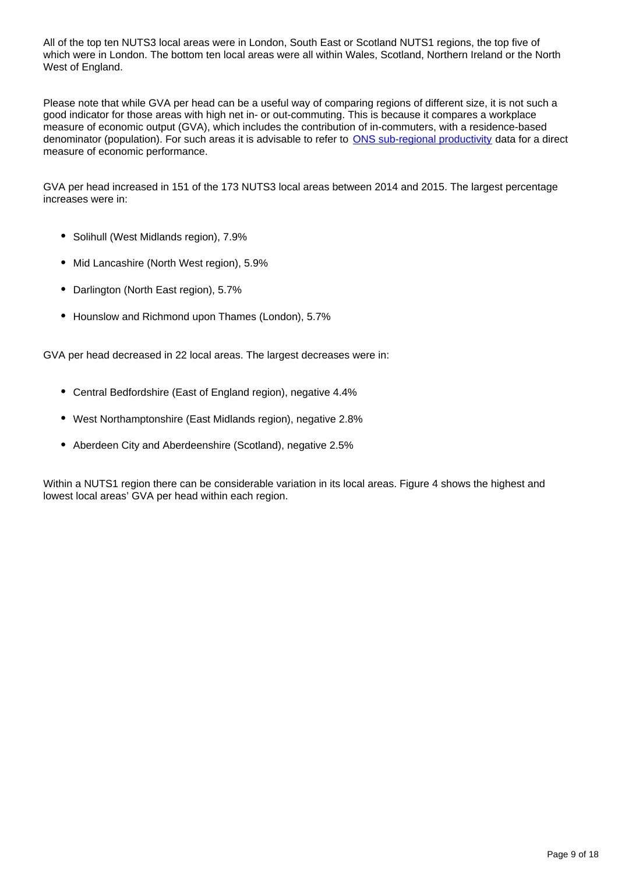All of the top ten NUTS3 local areas were in London, South East or Scotland NUTS1 regions, the top five of which were in London. The bottom ten local areas were all within Wales, Scotland, Northern Ireland or the North West of England.

Please note that while GVA per head can be a useful way of comparing regions of different size, it is not such a good indicator for those areas with high net in- or out-commuting. This is because it compares a workplace measure of economic output (GVA), which includes the contribution of in-commuters, with a residence-based denominator (population). For such areas it is advisable to refer to [ONS sub-regional productivity](https://www.ons.gov.uk/employmentandlabourmarket/peopleinwork/labourproductivity/articles/subregionalproductivity/march2016) data for a direct measure of economic performance.

GVA per head increased in 151 of the 173 NUTS3 local areas between 2014 and 2015. The largest percentage increases were in:

- Solihull (West Midlands region), 7.9%
- Mid Lancashire (North West region), 5.9%
- Darlington (North East region), 5.7%
- Hounslow and Richmond upon Thames (London), 5.7%

GVA per head decreased in 22 local areas. The largest decreases were in:

- Central Bedfordshire (East of England region), negative 4.4%
- West Northamptonshire (East Midlands region), negative 2.8%
- Aberdeen City and Aberdeenshire (Scotland), negative 2.5%

Within a NUTS1 region there can be considerable variation in its local areas. Figure 4 shows the highest and lowest local areas' GVA per head within each region.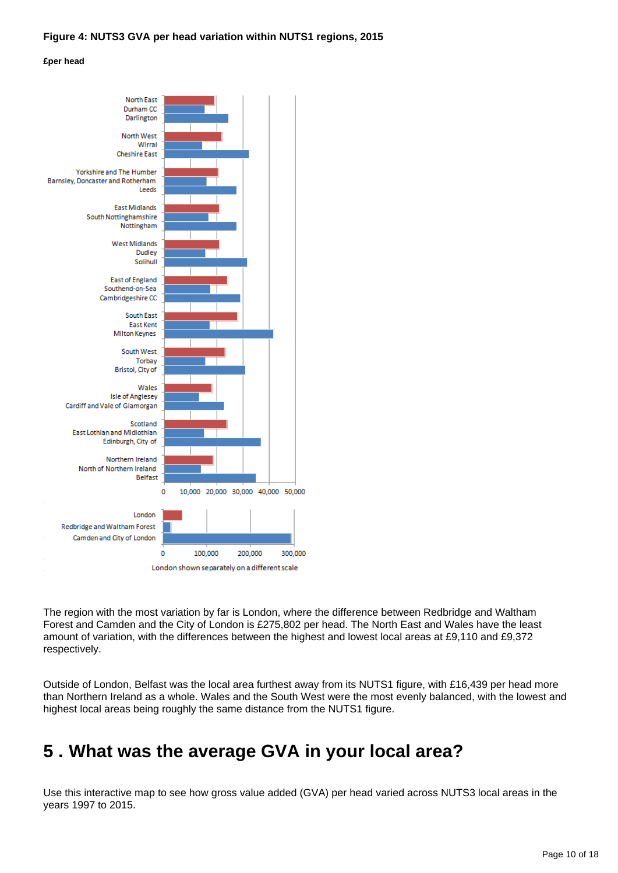#### **Figure 4: NUTS3 GVA per head variation within NUTS1 regions, 2015**

#### **£per head**



The region with the most variation by far is London, where the difference between Redbridge and Waltham Forest and Camden and the City of London is £275,802 per head. The North East and Wales have the least amount of variation, with the differences between the highest and lowest local areas at £9,110 and £9,372 respectively.

Outside of London, Belfast was the local area furthest away from its NUTS1 figure, with £16,439 per head more than Northern Ireland as a whole. Wales and the South West were the most evenly balanced, with the lowest and highest local areas being roughly the same distance from the NUTS1 figure.

## <span id="page-9-0"></span>**5 . What was the average GVA in your local area?**

Use this interactive map to see how gross value added (GVA) per head varied across NUTS3 local areas in the years 1997 to 2015.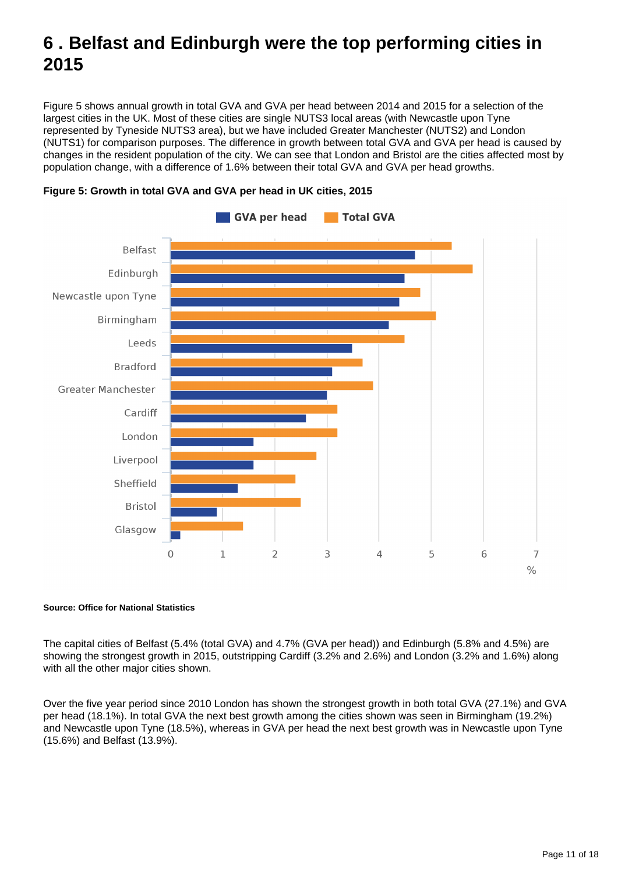## <span id="page-10-0"></span>**6 . Belfast and Edinburgh were the top performing cities in 2015**

Figure 5 shows annual growth in total GVA and GVA per head between 2014 and 2015 for a selection of the largest cities in the UK. Most of these cities are single NUTS3 local areas (with Newcastle upon Tyne represented by Tyneside NUTS3 area), but we have included Greater Manchester (NUTS2) and London (NUTS1) for comparison purposes. The difference in growth between total GVA and GVA per head is caused by changes in the resident population of the city. We can see that London and Bristol are the cities affected most by population change, with a difference of 1.6% between their total GVA and GVA per head growths.





#### **Source: Office for National Statistics**

The capital cities of Belfast (5.4% (total GVA) and 4.7% (GVA per head)) and Edinburgh (5.8% and 4.5%) are showing the strongest growth in 2015, outstripping Cardiff (3.2% and 2.6%) and London (3.2% and 1.6%) along with all the other major cities shown.

Over the five year period since 2010 London has shown the strongest growth in both total GVA (27.1%) and GVA per head (18.1%). In total GVA the next best growth among the cities shown was seen in Birmingham (19.2%) and Newcastle upon Tyne (18.5%), whereas in GVA per head the next best growth was in Newcastle upon Tyne (15.6%) and Belfast (13.9%).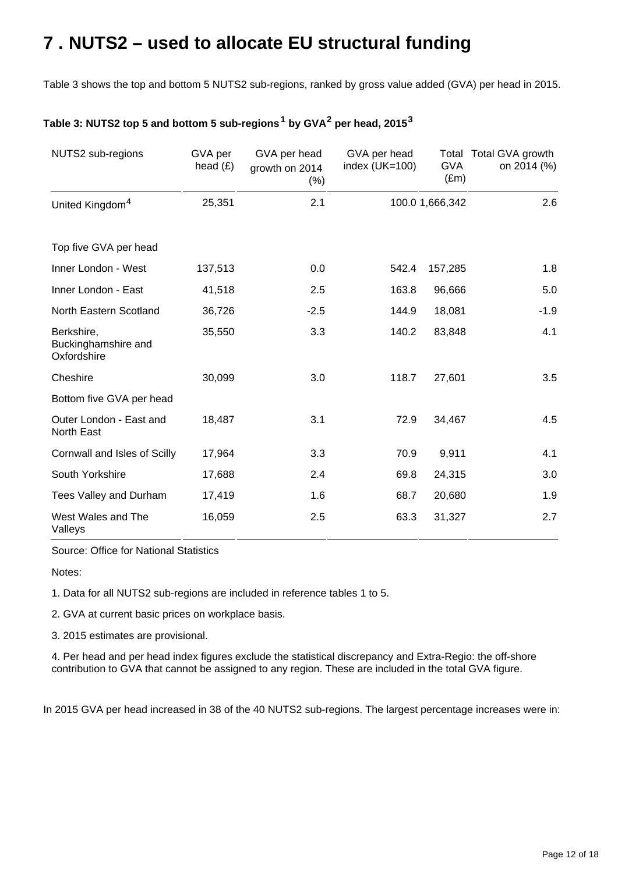## <span id="page-11-0"></span>**7 . NUTS2 – used to allocate EU structural funding**

Table 3 shows the top and bottom 5 NUTS2 sub-regions, ranked by gross value added (GVA) per head in 2015.

| NUTS2 sub-regions                                | GVA per<br>head $(E)$ | GVA per head<br>growth on 2014<br>$(\%)$ | GVA per head<br>index (UK=100) | <b>GVA</b><br>$(\text{Em})$ | Total Total GVA growth<br>on 2014 (%) |
|--------------------------------------------------|-----------------------|------------------------------------------|--------------------------------|-----------------------------|---------------------------------------|
| United Kingdom <sup>4</sup>                      | 25,351                | 2.1                                      |                                | 100.0 1,666,342             | 2.6                                   |
| Top five GVA per head                            |                       |                                          |                                |                             |                                       |
| Inner London - West                              | 137,513               | 0.0                                      | 542.4                          | 157,285                     | 1.8                                   |
| Inner London - East                              | 41,518                | 2.5                                      | 163.8                          | 96,666                      | 5.0                                   |
| North Eastern Scotland                           | 36,726                | $-2.5$                                   | 144.9                          | 18,081                      | $-1.9$                                |
| Berkshire,<br>Buckinghamshire and<br>Oxfordshire | 35,550                | 3.3                                      | 140.2                          | 83,848                      | 4.1                                   |
| Cheshire                                         | 30,099                | 3.0                                      | 118.7                          | 27,601                      | 3.5                                   |
| Bottom five GVA per head                         |                       |                                          |                                |                             |                                       |
| Outer London - East and<br>North East            | 18,487                | 3.1                                      | 72.9                           | 34,467                      | 4.5                                   |
| Cornwall and Isles of Scilly                     | 17,964                | 3.3                                      | 70.9                           | 9,911                       | 4.1                                   |
| South Yorkshire                                  | 17,688                | 2.4                                      | 69.8                           | 24,315                      | 3.0                                   |
| Tees Valley and Durham                           | 17,419                | 1.6                                      | 68.7                           | 20,680                      | 1.9                                   |
| West Wales and The<br>Valleys                    | 16,059                | 2.5                                      | 63.3                           | 31,327                      | 2.7                                   |

#### Table 3: NUTS2 top 5 and bottom 5 sub-regions<sup>1</sup> by GVA<sup>2</sup> per head, 2015<sup>3</sup>

Source: Office for National Statistics

Notes:

1. Data for all NUTS2 sub-regions are included in reference tables 1 to 5.

2. GVA at current basic prices on workplace basis.

3. 2015 estimates are provisional.

4. Per head and per head index figures exclude the statistical discrepancy and Extra-Regio: the off-shore contribution to GVA that cannot be assigned to any region. These are included in the total GVA figure.

In 2015 GVA per head increased in 38 of the 40 NUTS2 sub-regions. The largest percentage increases were in: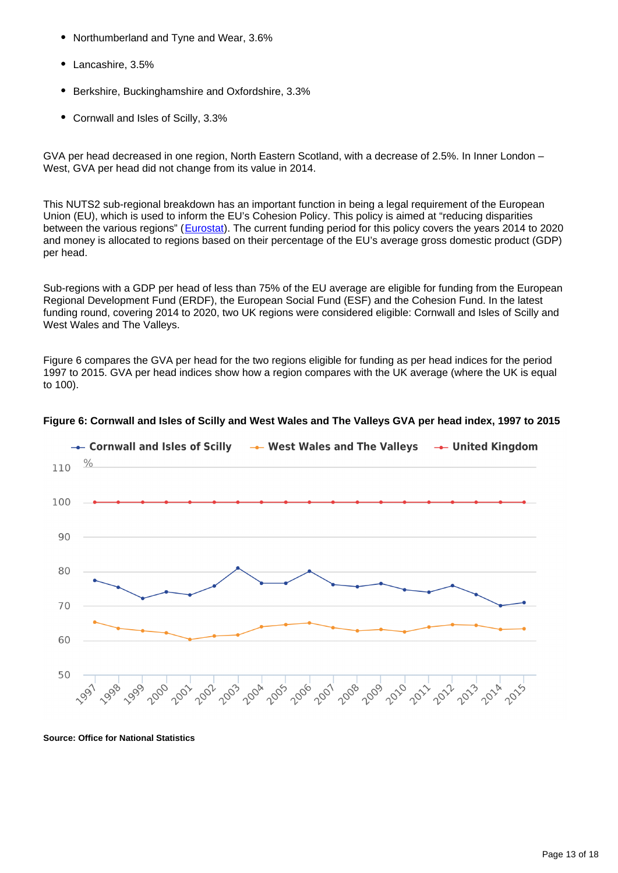- Northumberland and Tyne and Wear, 3.6%
- Lancashire, 3.5%
- Berkshire, Buckinghamshire and Oxfordshire, 3.3%
- Cornwall and Isles of Scilly, 3.3%

GVA per head decreased in one region, North Eastern Scotland, with a decrease of 2.5%. In Inner London – West, GVA per head did not change from its value in 2014.

This NUTS2 sub-regional breakdown has an important function in being a legal requirement of the European Union (EU), which is used to inform the EU's Cohesion Policy. This policy is aimed at "reducing disparities between the various regions" ([Eurostat\)](http://ec.europa.eu/eurostat/statistics-explained/index.php/Regional_policies_and_Europe_2020). The current funding period for this policy covers the years 2014 to 2020 and money is allocated to regions based on their percentage of the EU's average gross domestic product (GDP) per head.

Sub-regions with a GDP per head of less than 75% of the EU average are eligible for funding from the European Regional Development Fund (ERDF), the European Social Fund (ESF) and the Cohesion Fund. In the latest funding round, covering 2014 to 2020, two UK regions were considered eligible: Cornwall and Isles of Scilly and West Wales and The Valleys.

Figure 6 compares the GVA per head for the two regions eligible for funding as per head indices for the period 1997 to 2015. GVA per head indices show how a region compares with the UK average (where the UK is equal to 100).



#### **Figure 6: Cornwall and Isles of Scilly and West Wales and The Valleys GVA per head index, 1997 to 2015**

**Source: Office for National Statistics**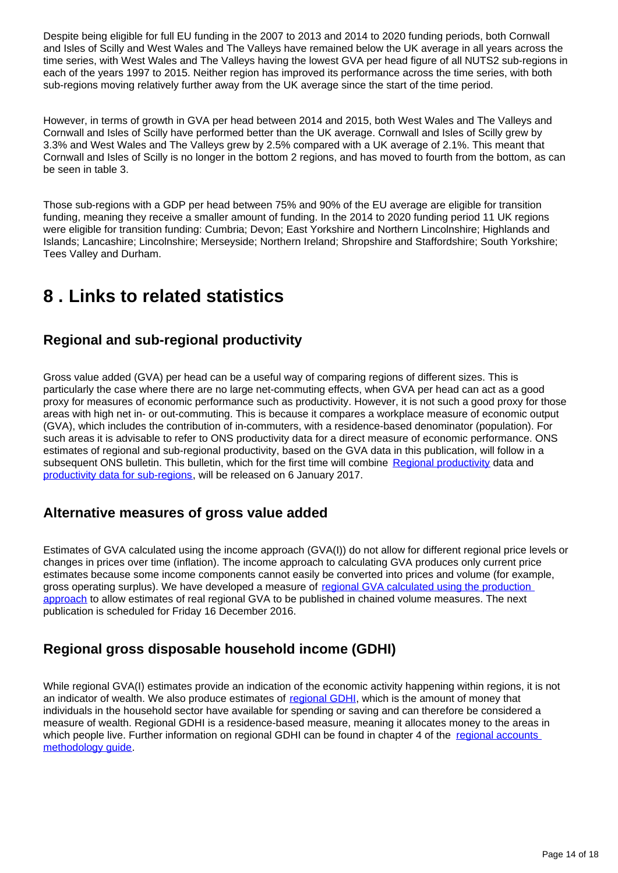Despite being eligible for full EU funding in the 2007 to 2013 and 2014 to 2020 funding periods, both Cornwall and Isles of Scilly and West Wales and The Valleys have remained below the UK average in all years across the time series, with West Wales and The Valleys having the lowest GVA per head figure of all NUTS2 sub-regions in each of the years 1997 to 2015. Neither region has improved its performance across the time series, with both sub-regions moving relatively further away from the UK average since the start of the time period.

However, in terms of growth in GVA per head between 2014 and 2015, both West Wales and The Valleys and Cornwall and Isles of Scilly have performed better than the UK average. Cornwall and Isles of Scilly grew by 3.3% and West Wales and The Valleys grew by 2.5% compared with a UK average of 2.1%. This meant that Cornwall and Isles of Scilly is no longer in the bottom 2 regions, and has moved to fourth from the bottom, as can be seen in table 3.

Those sub-regions with a GDP per head between 75% and 90% of the EU average are eligible for transition funding, meaning they receive a smaller amount of funding. In the 2014 to 2020 funding period 11 UK regions were eligible for transition funding: Cumbria; Devon; East Yorkshire and Northern Lincolnshire; Highlands and Islands; Lancashire; Lincolnshire; Merseyside; Northern Ireland; Shropshire and Staffordshire; South Yorkshire; Tees Valley and Durham.

### <span id="page-13-0"></span>**8 . Links to related statistics**

### **Regional and sub-regional productivity**

Gross value added (GVA) per head can be a useful way of comparing regions of different sizes. This is particularly the case where there are no large net-commuting effects, when GVA per head can act as a good proxy for measures of economic performance such as productivity. However, it is not such a good proxy for those areas with high net in- or out-commuting. This is because it compares a workplace measure of economic output (GVA), which includes the contribution of in-commuters, with a residence-based denominator (population). For such areas it is advisable to refer to ONS productivity data for a direct measure of economic performance. ONS estimates of regional and sub-regional productivity, based on the GVA data in this publication, will follow in a subsequent ONS bulletin. This bulletin, which for the first time will combine [Regional productivity](https://www.ons.gov.uk/employmentandlabourmarket/peopleinwork/labourproductivity/bulletins/labourproductivity/q32015) data and [productivity data for sub-regions,](https://www.ons.gov.uk/employmentandlabourmarket/peopleinwork/labourproductivity/articles/subregionalproductivity/march2016) will be released on 6 January 2017.

### **Alternative measures of gross value added**

Estimates of GVA calculated using the income approach (GVA(I)) do not allow for different regional price levels or changes in prices over time (inflation). The income approach to calculating GVA produces only current price estimates because some income components cannot easily be converted into prices and volume (for example, gross operating surplus). We have developed a measure of regional GVA calculated using the production [approach](https://www.ons.gov.uk/economy/grossvalueaddedgva/bulletins/regionalgrossvalueaddedproductionapproach/1998to2013) to allow estimates of real regional GVA to be published in chained volume measures. The next publication is scheduled for Friday 16 December 2016.

### **Regional gross disposable household income (GDHI)**

While regional GVA(I) estimates provide an indication of the economic activity happening within regions, it is not an indicator of wealth. We also produce estimates of [regional GDHI](https://www.ons.gov.uk/economy/regionalaccounts/grossdisposablehouseholdincome/bulletins/regionalgrossdisposablehouseholdincomegdhi/2014), which is the amount of money that individuals in the household sector have available for spending or saving and can therefore be considered a measure of wealth. Regional GDHI is a residence-based measure, meaning it allocates money to the areas in which people live. Further information on regional GDHI can be found in chapter 4 of the regional accounts [methodology guide](https://www.ons.gov.uk/file?uri=/economy/regionalaccounts/grossdisposablehouseholdincome/methodologies/regionalaccounts/regionalaccountsmethodologyguideaugust2016.pdf).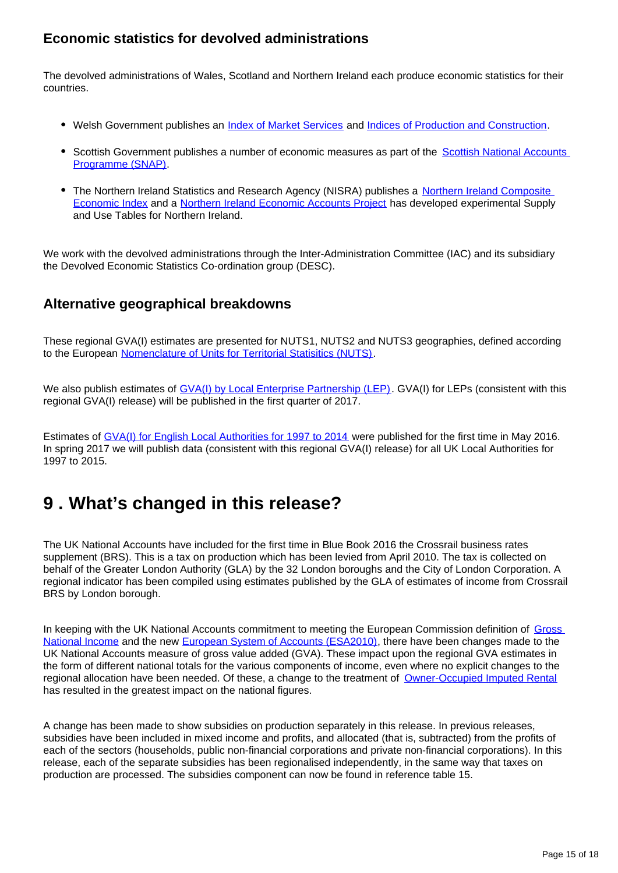### **Economic statistics for devolved administrations**

The devolved administrations of Wales, Scotland and Northern Ireland each produce economic statistics for their countries.

- Welsh Government publishes an [Index of Market Services](http://gov.wales/statistics-and-research/index-market-services/?lang=en) and [Indices of Production and Construction](http://gov.wales/statistics-and-research/index-production-construction/?lang=en).
- Scottish Government publishes a number of economic measures as part of the Scottish National Accounts [Programme \(SNAP\).](http://www.gov.scot/Topics/Statistics/Browse/Economy/SNAP)
- The Northern Ireland Statistics and Research Agency (NISRA) publishes a Northern Ireland Composite [Economic Index](https://www.economy-ni.gov.uk/articles/northern-ireland-composite-economic-index-nicei) and a [Northern Ireland Economic Accounts Project](https://www.economy-ni.gov.uk/articles/ni-economic-accounts-project) has developed experimental Supply and Use Tables for Northern Ireland.

We work with the devolved administrations through the Inter-Administration Committee (IAC) and its subsidiary the Devolved Economic Statistics Co-ordination group (DESC).

### **Alternative geographical breakdowns**

These regional GVA(I) estimates are presented for NUTS1, NUTS2 and NUTS3 geographies, defined according to the European [Nomenclature of Units for Territorial Statisitics \(NUTS\).](https://www.ons.gov.uk/methodology/geography/geographicalproducts/namescodesandlookups/namesandcodeslistings/namesandcodesforeurostatgeography)

We also publish estimates of [GVA\(I\) by Local Enterprise Partnership \(LEP\)](https://www.ons.gov.uk/economy/grossvalueaddedgva/datasets/gvaforlocalenterprisepartnerships). GVA(I) for LEPs (consistent with this regional GVA(I) release) will be published in the first quarter of 2017.

Estimates of [GVA\(I\) for English Local Authorities for 1997 to 2014](https://www.ons.gov.uk/economy/grossvalueaddedgva/adhocs/005715regionalgvaibylocalauthorityinengland1997to2014) were published for the first time in May 2016. In spring 2017 we will publish data (consistent with this regional GVA(I) release) for all UK Local Authorities for 1997 to 2015.

## <span id="page-14-0"></span>**9 . What's changed in this release?**

The UK National Accounts have included for the first time in Blue Book 2016 the Crossrail business rates supplement (BRS). This is a tax on production which has been levied from April 2010. The tax is collected on behalf of the Greater London Authority (GLA) by the 32 London boroughs and the City of London Corporation. A regional indicator has been compiled using estimates published by the GLA of estimates of income from Crossrail BRS by London borough.

In keeping with the UK National Accounts commitment to meeting the European Commission definition of Gross [National Income](http://ec.europa.eu/eurostat/statistics-explained/index.php/Glossary:Gross_national_income_(GNI)) and the new [European System of Accounts \(ESA2010\),](http://ec.europa.eu/eurostat/web/products-manuals-and-guidelines/-/KS-02-13-269) there have been changes made to the UK National Accounts measure of gross value added (GVA). These impact upon the regional GVA estimates in the form of different national totals for the various components of income, even where no explicit changes to the regional allocation have been needed. Of these, a change to the treatment of [Owner-Occupied Imputed Rental](https://www.ons.gov.uk/economy/nationalaccounts/uksectoraccounts/articles/changestonationalaccounts/imputedrental) has resulted in the greatest impact on the national figures.

A change has been made to show subsidies on production separately in this release. In previous releases, subsidies have been included in mixed income and profits, and allocated (that is, subtracted) from the profits of each of the sectors (households, public non-financial corporations and private non-financial corporations). In this release, each of the separate subsidies has been regionalised independently, in the same way that taxes on production are processed. The subsidies component can now be found in reference table 15.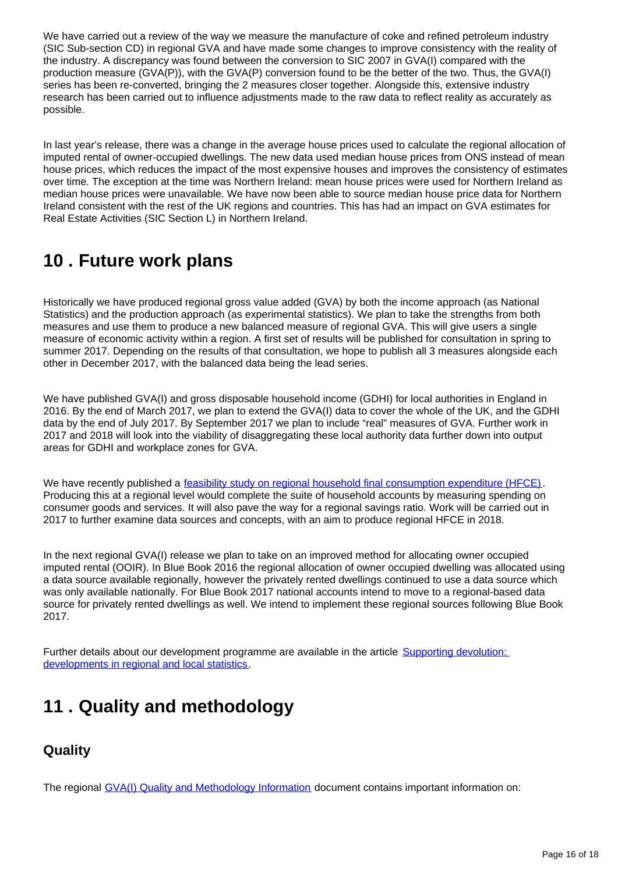We have carried out a review of the way we measure the manufacture of coke and refined petroleum industry (SIC Sub-section CD) in regional GVA and have made some changes to improve consistency with the reality of the industry. A discrepancy was found between the conversion to SIC 2007 in GVA(I) compared with the production measure (GVA(P)), with the GVA(P) conversion found to be the better of the two. Thus, the GVA(I) series has been re-converted, bringing the 2 measures closer together. Alongside this, extensive industry research has been carried out to influence adjustments made to the raw data to reflect reality as accurately as possible.

In last year's release, there was a change in the average house prices used to calculate the regional allocation of imputed rental of owner-occupied dwellings. The new data used median house prices from ONS instead of mean house prices, which reduces the impact of the most expensive houses and improves the consistency of estimates over time. The exception at the time was Northern Ireland: mean house prices were used for Northern Ireland as median house prices were unavailable. We have now been able to source median house price data for Northern Ireland consistent with the rest of the UK regions and countries. This has had an impact on GVA estimates for Real Estate Activities (SIC Section L) in Northern Ireland.

## <span id="page-15-0"></span>**10 . Future work plans**

Historically we have produced regional gross value added (GVA) by both the income approach (as National Statistics) and the production approach (as experimental statistics). We plan to take the strengths from both measures and use them to produce a new balanced measure of regional GVA. This will give users a single measure of economic activity within a region. A first set of results will be published for consultation in spring to summer 2017. Depending on the results of that consultation, we hope to publish all 3 measures alongside each other in December 2017, with the balanced data being the lead series.

We have published GVA(I) and gross disposable household income (GDHI) for local authorities in England in 2016. By the end of March 2017, we plan to extend the GVA(I) data to cover the whole of the UK, and the GDHI data by the end of July 2017. By September 2017 we plan to include "real" measures of GVA. Further work in 2017 and 2018 will look into the viability of disaggregating these local authority data further down into output areas for GDHI and workplace zones for GVA.

We have recently published a [feasibility study on regional household final consumption expenditure \(HFCE\).](https://www.ons.gov.uk/economy/regionalaccounts/grossdisposablehouseholdincome/articles/thefeasibilityofproducingregionalhouseholdfinalconsumptionexpenditureuk/2016) Producing this at a regional level would complete the suite of household accounts by measuring spending on consumer goods and services. It will also pave the way for a regional savings ratio. Work will be carried out in 2017 to further examine data sources and concepts, with an aim to produce regional HFCE in 2018.

In the next regional GVA(I) release we plan to take on an improved method for allocating owner occupied imputed rental (OOIR). In Blue Book 2016 the regional allocation of owner occupied dwelling was allocated using a data source available regionally, however the privately rented dwellings continued to use a data source which was only available nationally. For Blue Book 2017 national accounts intend to move to a regional-based data source for privately rented dwellings as well. We intend to implement these regional sources following Blue Book 2017.

Further details about our development programme are available in the article Supporting devolution: [developments in regional and local statistics.](https://www.ons.gov.uk/economy/regionalaccounts/grossdisposablehouseholdincome/articles/supportingdevolutiondevelopmentsinregionalandlocalstatistics/2016-05-25)

## <span id="page-15-1"></span>**11 . Quality and methodology**

### **Quality**

The regional [GVA\(I\) Quality and Methodology Information](https://www.ons.gov.uk/economy/grossvalueaddedgva/qmis/regionalgrossvalueaddedincomeapproachqmi) document contains important information on: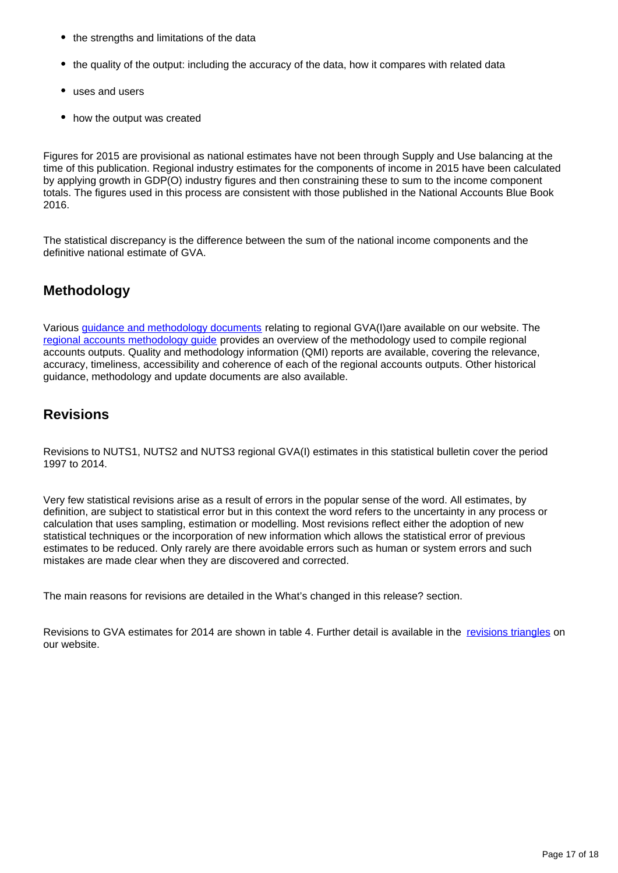- the strengths and limitations of the data
- the quality of the output: including the accuracy of the data, how it compares with related data
- uses and users
- how the output was created

Figures for 2015 are provisional as national estimates have not been through Supply and Use balancing at the time of this publication. Regional industry estimates for the components of income in 2015 have been calculated by applying growth in GDP(O) industry figures and then constraining these to sum to the income component totals. The figures used in this process are consistent with those published in the National Accounts Blue Book 2016.

The statistical discrepancy is the difference between the sum of the national income components and the definitive national estimate of GVA.

### **Methodology**

Various [guidance and methodology documents](https://www.ons.gov.uk/economy/regionalaccounts/grossdisposablehouseholdincome/methodologies/regionalaccountsuserengagement) relating to regional GVA(I)are available on our website. The [regional accounts methodology guide](https://www.ons.gov.uk/file?uri=/economy/regionalaccounts/grossdisposablehouseholdincome/methodologies/regionalaccounts/regionalaccountsmethodologyguideaugust2016.pdf) provides an overview of the methodology used to compile regional accounts outputs. Quality and methodology information (QMI) reports are available, covering the relevance, accuracy, timeliness, accessibility and coherence of each of the regional accounts outputs. Other historical guidance, methodology and update documents are also available.

### **Revisions**

Revisions to NUTS1, NUTS2 and NUTS3 regional GVA(I) estimates in this statistical bulletin cover the period 1997 to 2014.

Very few statistical revisions arise as a result of errors in the popular sense of the word. All estimates, by definition, are subject to statistical error but in this context the word refers to the uncertainty in any process or calculation that uses sampling, estimation or modelling. Most revisions reflect either the adoption of new statistical techniques or the incorporation of new information which allows the statistical error of previous estimates to be reduced. Only rarely are there avoidable errors such as human or system errors and such mistakes are made clear when they are discovered and corrected.

The main reasons for revisions are detailed in the What's changed in this release? section.

Revisions to GVA estimates for 2014 are shown in table 4. Further detail is available in the [revisions triangles](https://www.ons.gov.uk/file?uri=/economy/grossvalueaddedgva/datasets/regionalgrossvalueaddedincomeapproach/current/gvarevisionstriangles.xls) on our website.